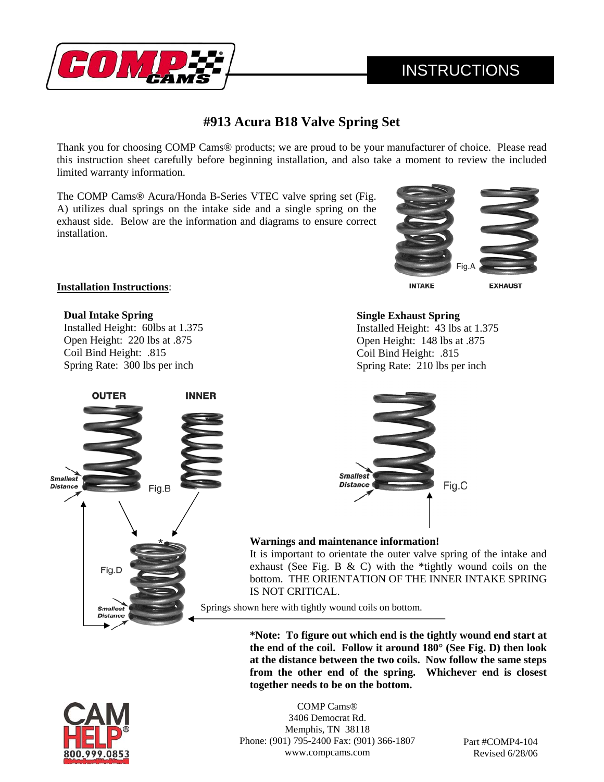

# **INSTRUCTIONS**

# **#913 Acura B18 Valve Spring Set**

Thank you for choosing COMP Cams® products; we are proud to be your manufacturer of choice. Please read this instruction sheet carefully before beginning installation, and also take a moment to review the included limited warranty information.

The COMP Cams® Acura/Honda B-Series VTEC valve spring set (Fig. A) utilizes dual springs on the intake side and a single spring on the exhaust side. Below are the information and diagrams to ensure correct installation.



#### **INTAKE**

**EXHAUST** 

#### **Installation Instructions**:

**Dual Intake Spring**  Installed Height: 60lbs at 1.375 Open Height: 220 lbs at .875 Coil Bind Height: .815 Spring Rate: 300 lbs per inch



## **Single Exhaust Spring**

Installed Height: 43 lbs at 1.375 Open Height: 148 lbs at .875 Coil Bind Height: .815 Spring Rate: 210 lbs per inch



## **Warnings and maintenance information!**

It is important to orientate the outer valve spring of the intake and exhaust (See Fig. B  $&$  C) with the \*tightly wound coils on the bottom. THE ORIENTATION OF THE INNER INTAKE SPRING IS NOT CRITICAL.

Springs shown here with tightly wound coils on bottom.

**\*Note: To figure out which end is the tightly wound end start at the end of the coil. Follow it around 180° (See Fig. D) then look at the distance between the two coils. Now follow the same steps from the other end of the spring. Whichever end is closest together needs to be on the bottom.** 



COMP Cams® 3406 Democrat Rd. Memphis, TN 38118 Phone: (901) 795-2400 Fax: (901) 366-1807 www.compcams.com

Part #COMP4-104 Revised 6/28/06